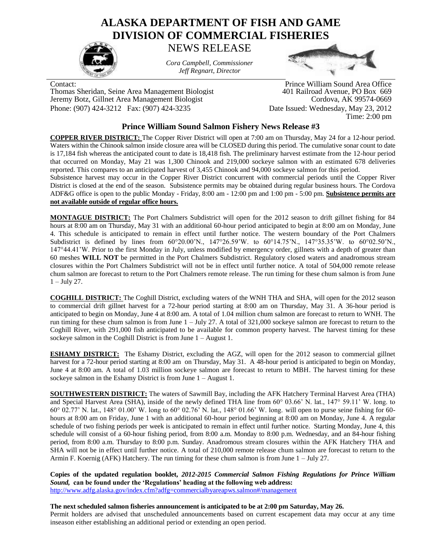## **ALASKA DEPARTMENT OF FISH AND GAME DIVISION OF COMMERCIAL FISHERIES**

NEWS RELEASE



*Cora Campbell, Commissioner Jeff Regnart, Director*



Thomas Sheridan, Seine Area Management Biologist 401 Railroad Avenue, PO Box 669 Jeremy Botz, Gillnet Area Management Biologist Phone: (907) 424-3212 Fax: (907) 424-3235 Date Issued: Wednesday, May 23, 2012

Contact: Prince William Sound Area Office

Time: 2:00 pm

## **Prince William Sound Salmon Fishery News Release #3**

**COPPER RIVER DISTRICT:** The Copper River District will open at 7:00 am on Thursday, May 24 for a 12-hour period. Waters within the Chinook salmon inside closure area will be CLOSED during this period. The cumulative sonar count to date is 17,184 fish whereas the anticipated count to date is 18,418 fish. The preliminary harvest estimate from the 12-hour period that occurred on Monday, May 21 was 1,300 Chinook and 219,000 sockeye salmon with an estimated 678 deliveries reported. This compares to an anticipated harvest of 3,455 Chinook and 94,000 sockeye salmon for this period.

Subsistence harvest may occur in the Copper River District concurrent with commercial periods until the Copper River District is closed at the end of the season. Subsistence permits may be obtained during regular business hours. The Cordova ADF&G office is open to the public Monday - Friday, 8:00 am - 12:00 pm and 1:00 pm - 5:00 pm. **Subsistence permits are not available outside of regular office hours.**

**MONTAGUE DISTRICT:** The Port Chalmers Subdistrict will open for the 2012 season to drift gillnet fishing for 84 hours at 8:00 am on Thursday, May 31 with an additional 60-hour period anticipated to begin at 8:00 am on Monday, June 4. This schedule is anticipated to remain in effect until further notice. The western boundary of the Port Chalmers Subdistrict is defined by lines from 60°20.00'N., 147°26.59'W. to 60°14.75'N., 147°35.35'W. to 60°02.50'N., 147°44.41'W. Prior to the first Monday in July, unless modified by emergency order, gillnets with a depth of greater than 60 meshes **WILL NOT** be permitted in the Port Chalmers Subdistrict. Regulatory closed waters and anadromous stream closures within the Port Chalmers Subdistrict will not be in effect until further notice. A total of 504,000 remote release chum salmon are forecast to return to the Port Chalmers remote release. The run timing for these chum salmon is from June 1 – July 27.

**COGHILL DISTRICT:** The Coghill District, excluding waters of the WNH THA and SHA, will open for the 2012 season to commercial drift gillnet harvest for a 72-hour period starting at 8:00 am on Thursday, May 31. A 36-hour period is anticipated to begin on Monday, June 4 at 8:00 am. A total of 1.04 million chum salmon are forecast to return to WNH. The run timing for these chum salmon is from June  $1 -$  July 27. A total of 321,000 sockeye salmon are forecast to return to the Coghill River, with 291,000 fish anticipated to be available for common property harvest. The harvest timing for these sockeye salmon in the Coghill District is from June 1 – August 1.

**ESHAMY DISTRICT:** The Eshamy District, excluding the AGZ, will open for the 2012 season to commercial gillnet harvest for a 72-hour period starting at 8:00 am on Thursday, May 31. A 48-hour period is anticipated to begin on Monday, June 4 at 8:00 am. A total of 1.03 million sockeye salmon are forecast to return to MBH. The harvest timing for these sockeye salmon in the Eshamy District is from June 1 – August 1.

**SOUTHWESTERN DISTRICT:** The waters of Sawmill Bay, including the AFK Hatchery Terminal Harvest Area (THA) and Special Harvest Area (SHA), inside of the newly defined THA line from 60° 03.66' N. lat., 147° 59.11' W. long. to 60° 02.77' N. lat., 148° 01.00' W. long to 60° 02.76' N. lat., 148° 01.66' W. long. will open to purse seine fishing for 60 hours at 8:00 am on Friday, June 1 with an additional 60-hour period beginning at 8:00 am on Monday, June 4. A regular schedule of two fishing periods per week is anticipated to remain in effect until further notice. Starting Monday, June 4, this schedule will consist of a 60-hour fishing period, from 8:00 a.m. Monday to 8:00 p.m. Wednesday, and an 84-hour fishing period, from 8:00 a.m. Thursday to 8:00 p.m. Sunday. Anadromous stream closures within the AFK Hatchery THA and SHA will not be in effect until further notice. A total of 210,000 remote release chum salmon are forecast to return to the Armin F. Koernig (AFK) Hatchery. The run timing for these chum salmon is from June 1 – July 27.

**Copies of the updated regulation booklet,** *2012-2015 Commercial Salmon Fishing Regulations for Prince William Sound,* **can be found under the 'Regulations' heading at the following web address:** <http://www.adfg.alaska.gov/index.cfm?adfg=commercialbyareapws.salmon#/management>

## **The next scheduled salmon fisheries announcement is anticipated to be at 2:00 pm Saturday, May 26.**

Permit holders are advised that unscheduled announcements based on current escapement data may occur at any time inseason either establishing an additional period or extending an open period.